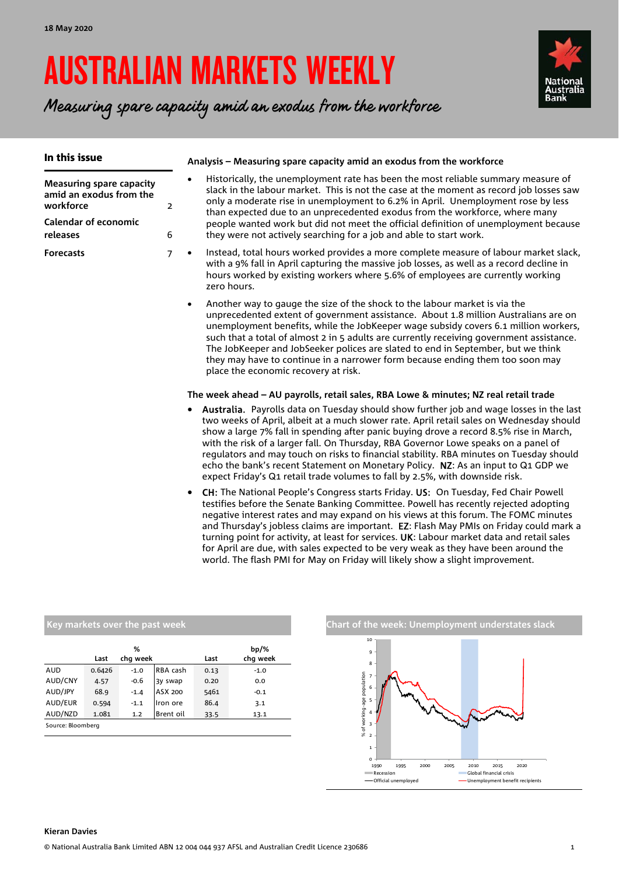# AUSTRALIAN MARKETS WEEKLY

Measuring spare capacity amid an exodus from the workforce



| In this issue                                                                                                      |                     | Analysis – Measuring spare capacity amid an exodus from the workforce                                                                                                                                                                                                                                                                                                                                                                                                                                                                                                                                                                          |
|--------------------------------------------------------------------------------------------------------------------|---------------------|------------------------------------------------------------------------------------------------------------------------------------------------------------------------------------------------------------------------------------------------------------------------------------------------------------------------------------------------------------------------------------------------------------------------------------------------------------------------------------------------------------------------------------------------------------------------------------------------------------------------------------------------|
| <b>Measuring spare capacity</b><br>amid an exodus from the<br>workforce<br><b>Calendar of economic</b><br>releases | $\overline{2}$<br>6 | Historically, the unemployment rate has been the most reliable summary measure of<br>$\bullet$<br>slack in the labour market. This is not the case at the moment as record job losses saw<br>only a moderate rise in unemployment to 6.2% in April. Unemployment rose by less<br>than expected due to an unprecedented exodus from the workforce, where many<br>people wanted work but did not meet the official definition of unemployment because<br>they were not actively searching for a job and able to start work.                                                                                                                      |
| <b>Forecasts</b>                                                                                                   | $\overline{7}$      | Instead, total hours worked provides a more complete measure of labour market slack,<br>$\bullet$<br>with a 9% fall in April capturing the massive job losses, as well as a record decline in<br>hours worked by existing workers where 5.6% of employees are currently working<br>zero hours.                                                                                                                                                                                                                                                                                                                                                 |
|                                                                                                                    |                     | Another way to gauge the size of the shock to the labour market is via the<br>$\bullet$<br>unprecedented extent of government assistance. About 1.8 million Australians are on<br>unemployment benefits, while the JobKeeper wage subsidy covers 6.1 million workers,<br>such that a total of almost 2 in 5 adults are currently receiving government assistance.<br>The JobKeeper and JobSeeker polices are slated to end in September, but we think<br>they may have to continue in a narrower form because ending them too soon may<br>place the economic recovery at risk.                                                                 |
|                                                                                                                    |                     | The week ahead - AU payrolls, retail sales, RBA Lowe & minutes; NZ real retail trade                                                                                                                                                                                                                                                                                                                                                                                                                                                                                                                                                           |
|                                                                                                                    |                     | • Australia. Payrolls data on Tuesday should show further job and wage losses in the last<br>two weeks of April, albeit at a much slower rate. April retail sales on Wednesday should<br>show a large 7% fall in spending after panic buying drove a record 8.5% rise in March,<br>with the risk of a larger fall. On Thursday, RBA Governor Lowe speaks on a panel of<br>regulators and may touch on risks to financial stability. RBA minutes on Tuesday should<br>echo the bank's recent Statement on Monetary Policy. NZ: As an input to Q1 GDP we<br>expect Friday's Q1 retail trade volumes to fall by 2.5%, with downside risk.         |
|                                                                                                                    |                     | CH: The National People's Congress starts Friday. US: On Tuesday, Fed Chair Powell<br>$\bullet$<br>testifies before the Senate Banking Committee. Powell has recently rejected adopting<br>negative interest rates and may expand on his views at this forum. The FOMC minutes<br>and Thursday's jobless claims are important. EZ: Flash May PMIs on Friday could mark a<br>turning point for activity, at least for services. UK: Labour market data and retail sales<br>for April are due, with sales expected to be very weak as they have been around the<br>world. The flash PMI for May on Friday will likely show a slight improvement. |

|                   | Key markets over the past week |        |                     |      |        |  |  |  |  |  |  |  |  |
|-------------------|--------------------------------|--------|---------------------|------|--------|--|--|--|--|--|--|--|--|
|                   | Last                           | Last   | $bp/\%$<br>chq week |      |        |  |  |  |  |  |  |  |  |
| AUD               | 0.6426                         | $-1.0$ | RBA cash            | 0.13 | $-1.0$ |  |  |  |  |  |  |  |  |
| AUD/CNY           | 4.57                           | $-0.6$ | 3y swap             | 0.20 | 0.0    |  |  |  |  |  |  |  |  |
| AUD/JPY           | 68.9                           | $-1.4$ | ASX 200             | 5461 | $-0.1$ |  |  |  |  |  |  |  |  |
| AUD/EUR           | 0.594                          | $-1.1$ | Iron ore            | 86.4 | 3.1    |  |  |  |  |  |  |  |  |
| AUD/NZD           | 1.081                          | 1.2    | Brent oil           | 33.5 | 13.1   |  |  |  |  |  |  |  |  |
| Source: Bloomberg |                                |        |                     |      |        |  |  |  |  |  |  |  |  |

**Chart of the week: Unemployment understates slack**  $0 +$ <br>1990 1 2 3 4 5 6 7 8 9 10 % of working-age population

1990 1995 2000 2005 2010 2015 2020 Recession Global financial crisis

÷

Official unemployed Unemployment benefit recipients

#### **Kieran Davies**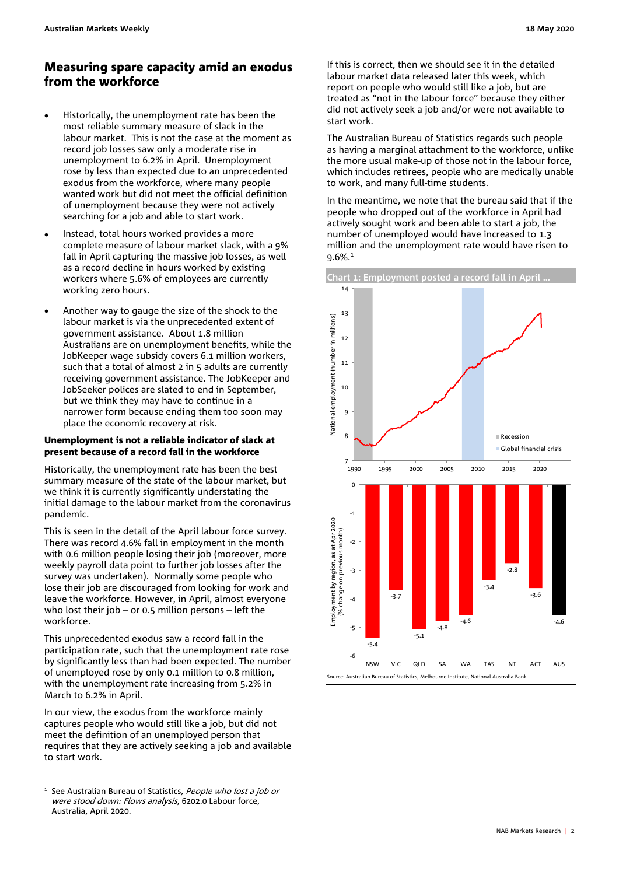## Measuring spare capacity amid an exodus from the workforce

- Historically, the unemployment rate has been the most reliable summary measure of slack in the labour market. This is not the case at the moment as record job losses saw only a moderate rise in unemployment to 6.2% in April. Unemployment rose by less than expected due to an unprecedented exodus from the workforce, where many people wanted work but did not meet the official definition of unemployment because they were not actively searching for a job and able to start work.
- Instead, total hours worked provides a more complete measure of labour market slack, with a 9% fall in April capturing the massive job losses, as well as a record decline in hours worked by existing workers where 5.6% of employees are currently working zero hours.
- Another way to gauge the size of the shock to the labour market is via the unprecedented extent of government assistance. About 1.8 million Australians are on unemployment benefits, while the JobKeeper wage subsidy covers 6.1 million workers, such that a total of almost 2 in 5 adults are currently receiving government assistance. The JobKeeper and JobSeeker polices are slated to end in September, but we think they may have to continue in a narrower form because ending them too soon may place the economic recovery at risk.

## Unemployment is not a reliable indicator of slack at present because of a record fall in the workforce

Historically, the unemployment rate has been the best summary measure of the state of the labour market, but we think it is currently significantly understating the initial damage to the labour market from the coronavirus pandemic.

This is seen in the detail of the April labour force survey. There was record 4.6% fall in employment in the month with 0.6 million people losing their job (moreover, more weekly payroll data point to further job losses after the survey was undertaken). Normally some people who lose their job are discouraged from looking for work and leave the workforce. However, in April, almost everyone who lost their job – or 0.5 million persons – left the workforce.

This unprecedented exodus saw a record fall in the participation rate, such that the unemployment rate rose by significantly less than had been expected. The number of unemployed rose by only 0.1 million to 0.8 million, with the unemployment rate increasing from 5.2% in March to 6.2% in April.

In our view, the exodus from the workforce mainly captures people who would still like a job, but did not meet the definition of an unemployed person that requires that they are actively seeking a job and available to start work.

If this is correct, then we should see it in the detailed labour market data released later this week, which report on people who would still like a job, but are treated as "not in the labour force" because they either did not actively seek a job and/or were not available to start work.

The Australian Bureau of Statistics regards such people as having a marginal attachment to the workforce, unlike the more usual make-up of those not in the labour force, which includes retirees, people who are medically unable to work, and many full-time students.

In the meantime, we note that the bureau said that if the people who dropped out of the workforce in April had actively sought work and been able to start a job, the number of unemployed would have increased to 1.3 million and the unemployment rate would have risen to 9.6%.1



 $\overline{a}$ <sup>1</sup> See Australian Bureau of Statistics, People who lost a job or were stood down: Flows analysis, 6202.0 Labour force, Australia, April 2020.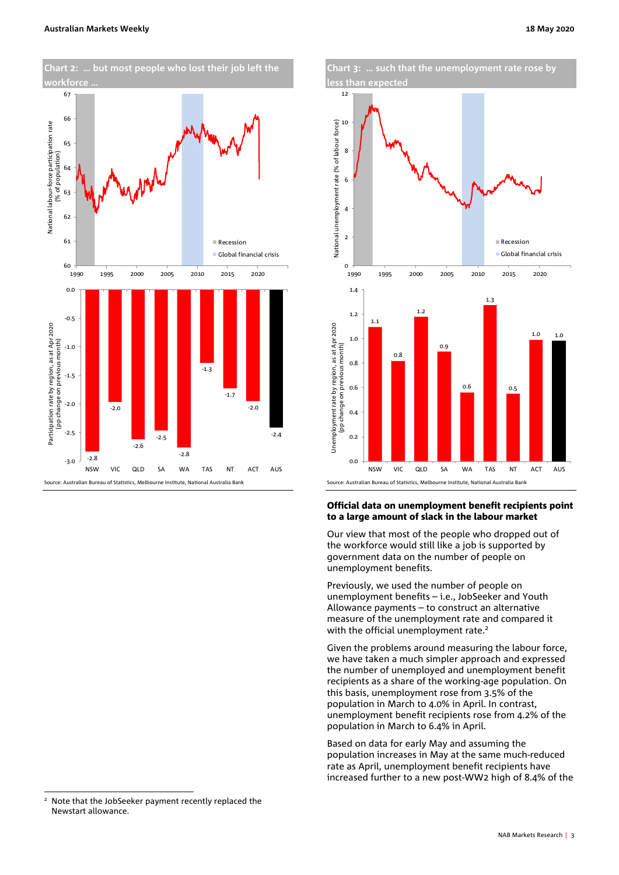



## Official data on unemployment benefit recipients point to a large amount of slack in the labour market

Our view that most of the people who dropped out of the workforce would still like a job is supported by government data on the number of people on unemployment benefits.

Previously, we used the number of people on unemployment benefits – i.e., JobSeeker and Youth Allowance payments – to construct an alternative measure of the unemployment rate and compared it with the official unemployment rate.<sup>2</sup>

Given the problems around measuring the labour force, we have taken a much simpler approach and expressed the number of unemployed and unemployment benefit recipients as a share of the working-age population. On this basis, unemployment rose from 3.5% of the population in March to 4.0% in April. In contrast, unemployment benefit recipients rose from 4.2% of the population in March to 6.4% in April.

Based on data for early May and assuming the population increases in May at the same much-reduced rate as April, unemployment benefit recipients have increased further to a new post-WW2 high of 8.4% of the

 $\overline{a}$ 

<sup>&</sup>lt;sup>2</sup> Note that the JobSeeker payment recently replaced the Newstart allowance.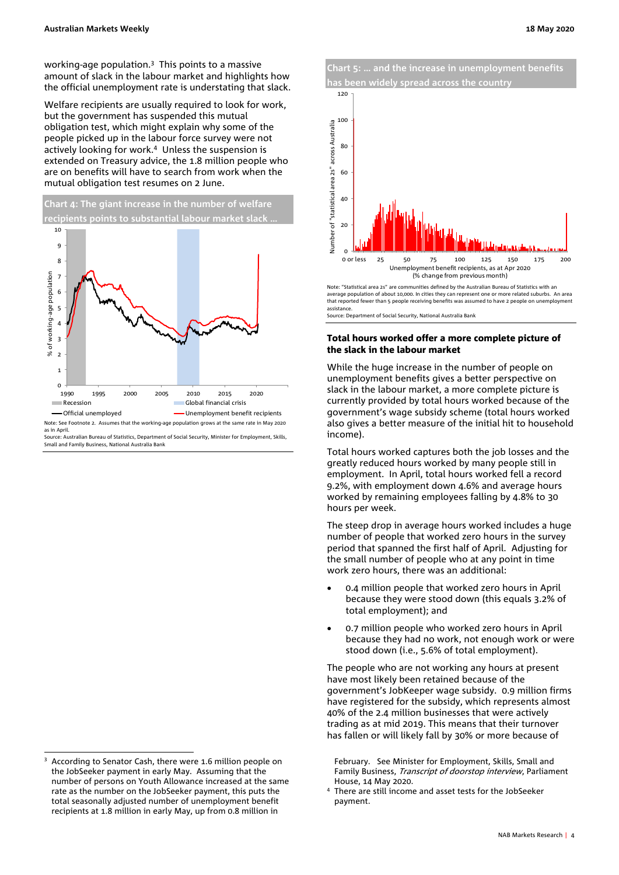working-age population.3 This points to a massive amount of slack in the labour market and highlights how the official unemployment rate is understating that slack.

Welfare recipients are usually required to look for work, but the government has suspended this mutual obligation test, which might explain why some of the people picked up in the labour force survey were not actively looking for work.<sup>4</sup> Unless the suspension is extended on Treasury advice, the 1.8 million people who are on benefits will have to search from work when the mutual obligation test resumes on 2 June.



Note: See Footnote 2. Assumes that the working-age population grows at the same rate in May 2020 as in April.

urce: Australian Bureau of Statistics, Department of Social Security, Minister for Employment, Skills Small and Family Business, National Australia Bank

j

**Chart 5: … and the increase in unemployment benefits has been widely spread across the country** 



Note: "Statistical area 2s" are communities defined by the Australian Bureau of Statistics with an average population of about 10,000. In cities they can represent one or more related suburbs. An area that reported fewer than 5 people receiving benefits was assumed to have 2 people on unemployment assistance.

Source: Department of Social Security, National Australia Bank

#### Total hours worked offer a more complete picture of the slack in the labour market

While the huge increase in the number of people on unemployment benefits gives a better perspective on slack in the labour market, a more complete picture is currently provided by total hours worked because of the government's wage subsidy scheme (total hours worked also gives a better measure of the initial hit to household income).

Total hours worked captures both the job losses and the greatly reduced hours worked by many people still in employment. In April, total hours worked fell a record 9.2%, with employment down 4.6% and average hours worked by remaining employees falling by 4.8% to 30 hours per week.

The steep drop in average hours worked includes a huge number of people that worked zero hours in the survey period that spanned the first half of April. Adjusting for the small number of people who at any point in time work zero hours, there was an additional:

- 0.4 million people that worked zero hours in April because they were stood down (this equals 3.2% of total employment); and
- 0.7 million people who worked zero hours in April because they had no work, not enough work or were stood down (i.e., 5.6% of total employment).

The people who are not working any hours at present have most likely been retained because of the government's JobKeeper wage subsidy. 0.9 million firms have registered for the subsidy, which represents almost 40% of the 2.4 million businesses that were actively trading as at mid 2019. This means that their turnover has fallen or will likely fall by 30% or more because of

February. See Minister for Employment, Skills, Small and Family Business, *Transcript of doorstop interview*, Parliament House, 14 May 2020. 4

<sup>&</sup>lt;sup>3</sup> According to Senator Cash, there were 1.6 million people on the JobSeeker payment in early May. Assuming that the number of persons on Youth Allowance increased at the same rate as the number on the JobSeeker payment, this puts the total seasonally adjusted number of unemployment benefit recipients at 1.8 million in early May, up from 0.8 million in

There are still income and asset tests for the JobSeeker payment.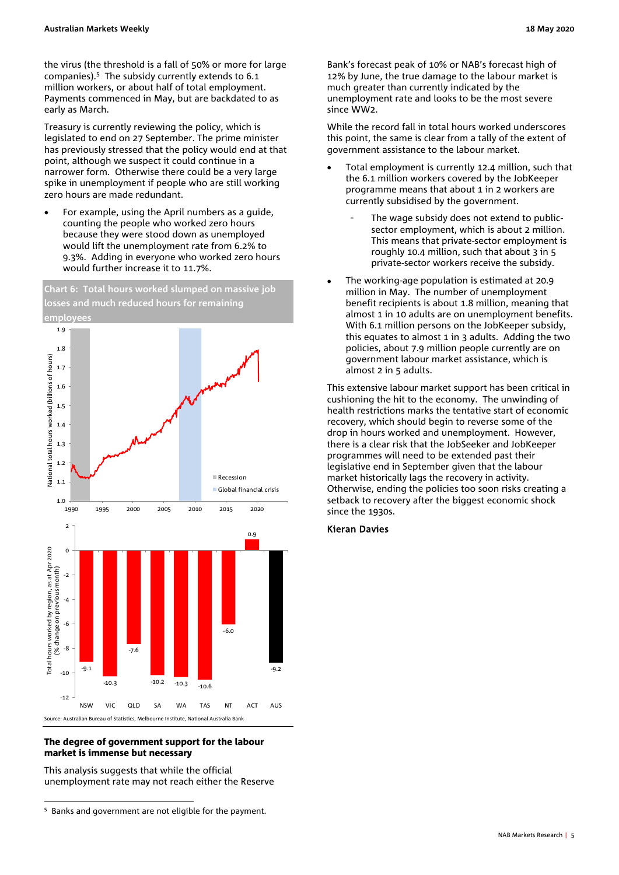the virus (the threshold is a fall of 50% or more for large companies).5 The subsidy currently extends to 6.1 million workers, or about half of total employment. Payments commenced in May, but are backdated to as early as March.

Treasury is currently reviewing the policy, which is legislated to end on 27 September. The prime minister has previously stressed that the policy would end at that point, although we suspect it could continue in a narrower form. Otherwise there could be a very large spike in unemployment if people who are still working zero hours are made redundant.

 For example, using the April numbers as a guide, counting the people who worked zero hours because they were stood down as unemployed would lift the unemployment rate from 6.2% to 9.3%. Adding in everyone who worked zero hours would further increase it to 11.7%.



## The degree of government support for the labour market is immense but necessary

This analysis suggests that while the official unemployment rate may not reach either the Reserve Bank's forecast peak of 10% or NAB's forecast high of 12% by June, the true damage to the labour market is much greater than currently indicated by the unemployment rate and looks to be the most severe since WW2.

While the record fall in total hours worked underscores this point, the same is clear from a tally of the extent of government assistance to the labour market.

- Total employment is currently 12.4 million, such that the 6.1 million workers covered by the JobKeeper programme means that about 1 in 2 workers are currently subsidised by the government.
	- The wage subsidy does not extend to publicsector employment, which is about 2 million. This means that private-sector employment is roughly 10.4 million, such that about 3 in 5 private-sector workers receive the subsidy.
- The working-age population is estimated at 20.9 million in May. The number of unemployment benefit recipients is about 1.8 million, meaning that almost 1 in 10 adults are on unemployment benefits. With 6.1 million persons on the JobKeeper subsidy, this equates to almost 1 in 3 adults. Adding the two policies, about 7.9 million people currently are on government labour market assistance, which is almost 2 in 5 adults.

This extensive labour market support has been critical in cushioning the hit to the economy. The unwinding of health restrictions marks the tentative start of economic recovery, which should begin to reverse some of the drop in hours worked and unemployment. However, there is a clear risk that the JobSeeker and JobKeeper programmes will need to be extended past their legislative end in September given that the labour market historically lags the recovery in activity. Otherwise, ending the policies too soon risks creating a setback to recovery after the biggest economic shock since the 1930s.

## Kieran Davies

j <sup>5</sup> Banks and government are not eligible for the payment.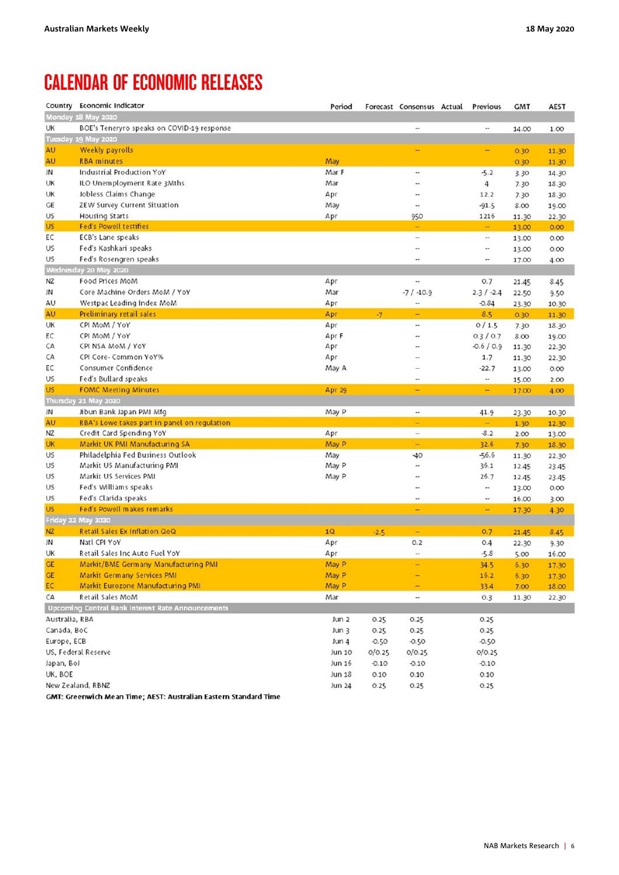## CALENDAR OF ECONOMIC RELEASES

|                | Country Economic Indicator                        | Period        |         | Forecast Consensus Actual | Previous                 | <b>GMT</b> | AEST  |
|----------------|---------------------------------------------------|---------------|---------|---------------------------|--------------------------|------------|-------|
|                | Monday 18 May 2020                                |               |         |                           |                          |            |       |
| UK             | BOE's Teneryro speaks on COVID-19 response        |               |         |                           | $\overline{\phantom{a}}$ | 14.00      | 1.00  |
|                | Tuesday 19 May 2020                               |               |         |                           |                          |            |       |
| AU             | <b>Weekly payrolls</b>                            |               |         |                           | ۰.                       | 0.30       | 11.30 |
| AU             | <b>RBA</b> minutes                                | May           |         |                           |                          | 0.30       | 11.30 |
| JN             | Industrial Production YoY                         | Mar F         |         | ٠.                        | $-5.2$                   | 3.30       | 14.30 |
| UK             | ILO Unemployment Rate 3Mths                       | Mar           |         | ÷                         | 4                        | 7.30       | 18.30 |
| UK             | Jobless Claims Change                             | Apr           |         |                           | 12.2                     | 7.30       | 18.30 |
| GE             | ZEW Survey Current Situation                      | May           |         | ٠.                        | $-91.5$                  | 8.00       | 19.00 |
| US             | Housing Starts                                    | Apr           |         | 950                       | 1216                     | 11.30      | 22.30 |
| <b>US</b>      | <b>Fed's Powell testifies</b>                     |               |         | ÷                         | ÷                        | 13.00      | 0.00  |
| EC             | ECB's Lane speaks                                 |               |         |                           | $\bullet\bullet$         | 13.00      | 0.00  |
| US             | Fed's Kashkari speaks                             |               |         |                           | $\cdots$                 | 13.00      | 0.00  |
| US             | Fed's Rosengren speaks                            |               |         |                           | $\overline{\phantom{a}}$ | 17.00      | 4.00  |
|                | Wednesday 20 May 2020                             |               |         |                           |                          |            |       |
| ΝZ             | Food Prices MoM                                   | Apr           |         | .,                        | 0.7                      | 21.45      | 8.45  |
| JN             | Core Machine Orders MoM / YoY                     | Mar           |         | $-7/ -10.9$               | $2.3/ -2.4$              | 22.50      | 9.50  |
| AU             | Westpac Leading Index MoM                         | Apr           |         |                           | $-0.84$                  | 23.30      | 10.30 |
| AU             | Preliminary retail sales                          | Apr           | $-7$    | ۰                         | 8.5                      | 0.30       | 11.30 |
| UK             | CPI MoM / YoY                                     | Apr           |         |                           | 0/1.5                    | 7.30       | 18.30 |
| ЕC             | CPI MoM / YoY                                     | Apr F         |         | --                        | 0.3 / 0.7                | 8.00       | 19.00 |
| CA             | CPI NSA MoM / YoY                                 | Apr           |         |                           | $-0.6 / 0.9$             | 11.30      | 22.30 |
| CA             | CPI Core- Common YoY%                             | Apr           |         | .,                        | 1.7                      | 11.30      | 22.30 |
| EC             | Consumer Confidence                               | May A         |         | ٠.                        | $-22.7$                  | 13.00      | 0.00  |
| US             | Fed's Bullard speaks                              |               |         | ۰.                        | $\overline{\phantom{a}}$ | 15.00      | 2.00  |
| <b>US</b>      | <b>FOMC Meeting Minutes</b>                       | Apr 29        |         | ÷                         | ÷,                       | 17.00      | 4.00  |
|                | Thursday 21 May 2020                              |               |         |                           |                          |            |       |
| JN             | Jibun Bank Japan PMI Mfg                          | May P         |         |                           | 41.9                     | 23.30      | 10.30 |
| AU             | RBA's Lowe takes part in panel on regulation      |               |         | ÷                         | $\sim$                   | 1.30       | 12.30 |
| NZ             | Credit Card Spending YoY                          | Apr           |         | .,                        | $-8.2$                   | 2.00       | 13.00 |
| <b>UK</b>      | Markit UK PMI Manufacturing SA                    | May P         |         | ÷                         | 32.6                     | 7.30       | 18.30 |
| US             | Philadelphia Fed Business Outlook                 | May           |         | $-40$                     | $-56.6$                  | 11.30      | 22.30 |
| US             | Markit US Manufacturing PMI                       | May P         |         |                           | 36.1                     | 12.45      | 23.45 |
| US             | Markit US Services PMI                            | May P         |         | --                        | 26.7                     | 12.45      | 23.45 |
| US             | Fed's Williams speaks                             |               |         | ٠.                        |                          | 13.00      | 0.00  |
| US             | Fed's Clarida speaks                              |               |         |                           | $\ddot{\phantom{1}}$     | 16.00      | 3.00  |
| <b>US</b>      | <b>Fed's Powell makes remarks</b>                 |               |         | ÷                         | ш,                       | 17.30      | 4.30  |
|                | Friday 22 May 2020                                |               |         |                           |                          |            |       |
| <b>NZ</b>      | Retail Sales Ex Inflation QoQ                     | 1Q            | $-2.5$  | ÷                         | 0.7                      | 21.45      | 8.45  |
| JN             | Natl CPI YoY                                      | Apr           |         | O.2                       | 0.4                      | 22.30      | 9.30  |
| UK             | Retail Sales Inc Auto Fuel YoY                    | Apr           |         |                           | $-5.8$                   | 5.00       | 16.00 |
| GE             | Markit/BME Germany Manufacturing PMI              | May P         |         | -                         | 34.5                     | 6.30       | 17.30 |
| GE             | Markit Germany Services PMI                       | May P         |         |                           | 16.2                     | 6.30       | 17.30 |
| EC             | Markit Eurozone Manufacturing PMI                 | May P         |         |                           | 33.4                     | 7.00       | 18.00 |
| CA             | Retail Sales MoM                                  | Mar           |         |                           | 0.3                      | 11.30      | 22.30 |
|                | Upcoming Central Bank Interest Rate Announcements |               |         |                           |                          |            |       |
| Australia, RBA |                                                   | Jun 2         | 0.25    | 0.25                      | 0.25                     |            |       |
| Canada, BoC    |                                                   | Jun 3         | 0.25    | 0.25                      | 0.25                     |            |       |
| Europe, ECB    |                                                   | Jun 4         | $-0.50$ | $-0.50$                   | $-0.50$                  |            |       |
|                | US, Federal Reserve                               | Jun 10        | 0/0.25  | O/O.25                    | O/O.25                   |            |       |
| Japan, BoJ     |                                                   | Jun 16        | $-0.10$ | $-0.10$                   | $-0.10$                  |            |       |
| UK, BOE        |                                                   | Jun 18        | 0.10    | 0.10                      | 0.10                     |            |       |
|                | New Zealand, RBNZ                                 | <b>Jun 24</b> | 0.25    | 0.25                      | 0.25                     |            |       |

GMT: Greenwich Mean Time; AEST: Australian Eastern Standard Time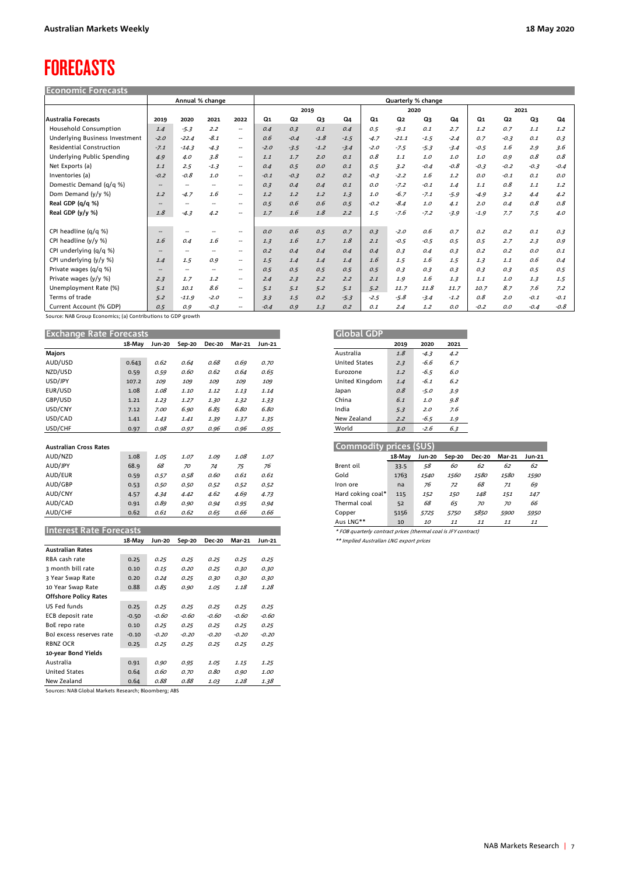## FORECASTS

| <b>Economic Forecasts</b>       |                          |                          |                          |                          |        |                |                    |        |                |                |        |        |        |        |        |        |  |
|---------------------------------|--------------------------|--------------------------|--------------------------|--------------------------|--------|----------------|--------------------|--------|----------------|----------------|--------|--------|--------|--------|--------|--------|--|
|                                 | Annual % change          |                          |                          |                          |        |                | Quarterly % change |        |                |                |        |        |        |        |        |        |  |
|                                 |                          |                          |                          |                          |        | 2019           |                    |        | 2020           |                |        | 2021   |        |        |        |        |  |
| <b>Australia Forecasts</b>      | 2019                     | 2020                     | 2021                     | 2022                     | Q1     | Q <sub>2</sub> | Q3                 | Q4     | Q <sub>1</sub> | Q <sub>2</sub> | Q3     | Q4     | Q1     | Q2     | Q3     | Q4     |  |
| <b>Household Consumption</b>    | 1.4                      | $-5.3$                   | 2.2                      | $\overline{\phantom{a}}$ | 0.4    | 0.3            | 0.1                | 0.4    | 0.5            | $-9.1$         | 0.1    | 2.7    | 1.2    | 0.7    | 1.1    | 1.2    |  |
| Underlying Business Investment  | $-2.0$                   | $-22.4$                  | $-8.1$                   | $\overline{\phantom{a}}$ | 0.6    | $-0.4$         | $-1.8$             | $-1.5$ | $-4.7$         | $-21.1$        | $-1.5$ | $-2.4$ | 0.7    | $-0.3$ | 0.1    | 0.3    |  |
| <b>Residential Construction</b> | $-7.1$                   | $-14.3$                  | $-4.3$                   | $\overline{\phantom{a}}$ | $-2.0$ | $-3.5$         | $-1.2$             | $-3.4$ | $-2.0$         | $-7.5$         | $-5.3$ | $-3.4$ | $-0.5$ | 1.6    | 2.9    | 3.6    |  |
| Underlying Public Spending      | 4.9                      | 4.0                      | 3.8                      | $\hspace{0.05cm} \ldots$ | 1.1    | 1.7            | 2.0                | 0.1    | 0.8            | 1.1            | 1.0    | 1.0    | 1.0    | 0.9    | 0.8    | 0.8    |  |
| Net Exports (a)                 | 1.1                      | 2.5                      | $-1.3$                   | $\hspace{0.05cm} \ldots$ | 0.4    | 0.5            | O.O                | 0.1    | 0.5            | 3.2            | $-0.4$ | $-0.8$ | $-0.3$ | $-0.2$ | $-0.3$ | $-0.4$ |  |
| Inventories (a)                 | $-0.2$                   | $-0.8$                   | 1.0                      | $\overline{\phantom{a}}$ | $-0.1$ | $-0.3$         | 0.2                | 0.2    | $-0.3$         | $-2.2$         | 1.6    | 1.2    | O.O    | $-0.1$ | 0.1    | O, O   |  |
| Domestic Demand (q/q %)         | $- -$                    | $\overline{\phantom{a}}$ | $\overline{\phantom{a}}$ | $-$                      | 0.3    | 0.4            | 0.4                | 0.1    | O.O            | $-7.2$         | $-0.1$ | 1.4    | 1.1    | 0.8    | 1.1    | 1.2    |  |
| Dom Demand (y/y %)              | 1.2                      | $-4.7$                   | 1.6                      | $\overline{\phantom{a}}$ | 1.2    | 1.2            | 1.2                | 1, 3   | 1.0            | $-6.7$         | $-7.1$ | $-5.9$ | $-4.9$ | 3.2    | 4.4    | 4.2    |  |
| Real GDP (q/q %)                | $\overline{\phantom{m}}$ | $\overline{\phantom{a}}$ | --                       | $\overline{\phantom{a}}$ | 0.5    | 0.6            | 0.6                | 0.5    | $-0.2$         | $-8.4$         | 1.0    | 4.1    | 2.0    | 0.4    | 0.8    | 0.8    |  |
| Real GDP (y/y %)                | 1.8                      | $-4.3$                   | 4.2                      | $\overline{\phantom{a}}$ | 1.7    | 1.6            | 1.8                | 2.2    | 1.5            | $-7.6$         | $-7.2$ | $-3.9$ | $-1.9$ | 7.7    | 7.5    | 4.0    |  |
|                                 |                          |                          |                          |                          |        |                |                    |        |                |                |        |        |        |        |        |        |  |
| CPI headline (q/q %)            | $- -$                    | $\overline{\phantom{a}}$ | --                       | $\overline{\phantom{a}}$ | O.O    | 0.6            | 0.5                | 0.7    | 0.3            | $-2.0$         | 0.6    | 0.7    | 0.2    | 0.2    | 0.1    | 0.3    |  |
| CPI headline (y/y %)            | 1.6                      | 0.4                      | 1.6                      | $\overline{\phantom{a}}$ | 1.3    | 1.6            | 1.7                | 1.8    | 2.1            | $-0.5$         | $-0.5$ | 0.5    | 0.5    | 2.7    | 2.3    | 0.9    |  |
| CPI underlying (q/q %)          | $\overline{\phantom{m}}$ | $\overline{\phantom{m}}$ | $\overline{\phantom{a}}$ | $\overline{\phantom{a}}$ | 0.2    | 0.4            | 0.4                | 0.4    | 0.4            | 0.3            | 0.4    | 0.3    | 0.2    | 0.2    | O.O    | 0.1    |  |
| CPI underlying (y/y %)          | 1.4                      | 1.5                      | 0.9                      | $\overline{\phantom{a}}$ | 1.5    | 1.4            | 1.4                | 1.4    | 1.6            | 1.5            | 1.6    | 1.5    | 1.3    | 1.1    | 0.6    | 0.4    |  |
| Private wages (q/q %)           | $\overline{\phantom{m}}$ | $\overline{\phantom{a}}$ | --                       | $\overline{\phantom{a}}$ | 0.5    | 0.5            | 0.5                | 0.5    | 0.5            | 0.3            | 0.3    | 0.3    | 0.3    | 0.3    | 0.5    | 0.5    |  |
| Private wages (y/y %)           | 2.3                      | 1.7                      | 1.2                      | $\overline{\phantom{a}}$ | 2.4    | 2.3            | 2.2                | 2.2    | 2.1            | 1.9            | 1.6    | 1.3    | 1.1    | 1.0    | 1.3    | 1.5    |  |
| Unemployment Rate (%)           | 5.1                      | 10.1                     | 8.6                      | $\sim$                   | 5.1    | 5.1            | 5.2                | 5.1    | 5.2            | 11.7           | 11.8   | 11.7   | 10.7   | 8.7    | 7.6    | 7.2    |  |
| Terms of trade                  | 5.2                      | $-11.9$                  | $-2.0$                   | $\overline{\phantom{a}}$ | 3.3    | 1.5            | 0.2                | $-5.3$ | $-2.5$         | $-5.8$         | $-3.4$ | $-1.2$ | 0.8    | 2.0    | $-0.1$ | $-0.1$ |  |
| Current Account (% GDP)         | 0.5                      | 0.9                      | $-0.3$                   | $\overline{\phantom{m}}$ | $-0.4$ | 0.9            | 1.3                | 0.2    | 0.1            | 2.4            | 1.2    | O. O   | $-0.2$ | O.O    | $-0.4$ | $-0.8$ |  |

Source: NAB Group Economics; (a) Contributions to GDP growth

| <b>Exchange Rate Forecasts</b> |        |        |        |               |        | <b>Global GDP</b> |                         |        |               |        |               |        |        |
|--------------------------------|--------|--------|--------|---------------|--------|-------------------|-------------------------|--------|---------------|--------|---------------|--------|--------|
|                                | 18-May | Jun-20 | Sep-20 | <b>Dec-20</b> | Mar-21 | <b>Jun-21</b>     |                         | 2019   | 2020          | 2021   |               |        |        |
| <b>Majors</b>                  |        |        |        |               |        |                   | Australia               | 1.8    | $-4.3$        | 4.2    |               |        |        |
| AUD/USD                        | 0.643  | 0.62   | 0.64   | 0.68          | 0.69   | 0.70              | <b>United States</b>    | 2.3    | -6.6          | 6.7    |               |        |        |
| NZD/USD                        | 0.59   | 0.59   | 0.60   | 0.62          | 0.64   | 0.65              | Eurozone                | 1.2    | $-6.5$        | 6.0    |               |        |        |
| USD/JPY                        | 107.2  | 109    | 109    | 109           | 109    | 109               | United Kingdom          | 1.4    | -6.1          | 6.2    |               |        |        |
| EUR/USD                        | 1.08   | 1.08   | 1.10   | 1.12          | 1.13   | 1.14              | Japan                   | 0.8    | $-5.0$        | 3.9    |               |        |        |
| GBP/USD                        | 1.21   | 1.23   | 1.27   | 1.30          | 1.32   | 1.33              | China                   | 6.1    | 1.0           | 9.8    |               |        |        |
| USD/CNY                        | 7.12   | 7.00   | 6.90   | 6.85          | 6.80   | 6.80              | India                   | 5.3    | 2.0           | 7.6    |               |        |        |
| USD/CAD                        | 1.41   | 1.43   | 1.41   | 1.39          | 1.37   | 1.35              | New Zealand             | 2.2    | $-6.5$        | 1.9    |               |        |        |
| USD/CHF                        | 0.97   | 0.98   | 0.97   | 0.96          | 0.96   | 0.95              | World                   | 3.0    | $-2.6$        | 6.3    |               |        |        |
|                                |        |        |        |               |        |                   |                         |        |               |        |               |        |        |
| <b>Australian Cross Rates</b>  |        |        |        |               |        |                   | Commodity prices (\$US) |        |               |        |               |        |        |
| AUD/NZD                        | 1.08   | 1.05   | 1.07   | 1.09          | 1.08   | 1.07              |                         | 18-Mav | <b>Jun-20</b> | Sep-20 | <b>Dec-20</b> | Mar-21 | Jun-21 |
| AUD/JPY                        | 68.9   | 68     | 70     | 74            | 75     | 76                | Brent oil               | 33.5   | 58            | 60     | 62            | 62     | 62     |
| AUD/EUR                        | 0.59   | 0.57   | 0.58   | 0.60          | 0.61   | 0.61              | Gold                    | 1763   | 1540          | 1560   | 1580          | 1580   | 1590   |
| AUD/GBP                        | 0.53   | 0.50   | 0.50   | 0.52          | 0.52   | 0.52              | Iron ore                | na     | 76            | 72     | 68            | 71     | 69     |
| AUD/CNY                        | 4.57   | 4.34   | 4.42   | 4.62          | 4.69   | 4.73              | Hard coking coal*       | 115    | 152           | 150    | 148           | 151    | 147    |
| AUD/CAD                        | 0.91   | 0.89   | 0.90   | 0.94          | 0.95   | 0.94              | Thermal coal            | 52     | 68            | 65     | 70            | 70     | 66     |
| AUD/CHF                        | 0.62   | 0.61   | 0.62   | 0.65          | 0.66   | 0.66              | Copper                  | 5156   | 5725          | 5750   | 5850          | 5900   | 5950   |
|                                |        |        |        |               |        |                   |                         |        |               |        |               |        |        |

|                              | 18-May  | Jun-20  | Sep-20  | <b>Dec-20</b> | Mar-21  | Jun-21  |
|------------------------------|---------|---------|---------|---------------|---------|---------|
| <b>Australian Rates</b>      |         |         |         |               |         |         |
| RBA cash rate                | 0.25    | 0.25    | 0.25    | 0.25          | 0.25    | 0.25    |
| 3 month bill rate            | 0.10    | 0.15    | 0.20    | 0.25          | 0.30    | 0.30    |
| 3 Year Swap Rate             | 0.20    | 0.24    | 0.25    | 0.30          | 0.30    | 0.30    |
| 10 Year Swap Rate            | 0.88    | 0.85    | 0.90    | 1.05          | 1.18    | 1.28    |
| <b>Offshore Policy Rates</b> |         |         |         |               |         |         |
| US Fed funds                 | 0.25    | 0.25    | 0.25    | 0.25          | 0.25    | 0.25    |
| ECB deposit rate             | $-0.50$ | -0.60   | -0.60   | -0.60         | -0.60   | -0.60   |
| BoE repo rate                | 0.10    | 0.25    | 0.25    | 0.25          | 0.25    | 0.25    |
| Bol excess reserves rate     | $-0.10$ | $-0.20$ | $-0.20$ | $-0.20$       | $-0.20$ | $-0.20$ |
| RBNZ OCR                     | 0.25    | 0.25    | 0.25    | 0.25          | 0.25    | 0.25    |
| 10-year Bond Yields          |         |         |         |               |         |         |
| Australia                    | 0.91    | 0.90    | 0.95    | 1.05          | 1.15    | 1.25    |
| <b>United States</b>         | 0.64    | 0.60    | 0.70    | 0.80          | 0.90    | 1.00    |
| New Zealand                  | 0.64    | 0.88    | 0.88    | 1.03          | 1.28    | 1.38    |

Sources: NAB Global Markets Research; Bloomberg; ABS

| <b>Global GDP</b>    |          |        |      |
|----------------------|----------|--------|------|
|                      | 2019     | 2020   | 2021 |
| Australia            | 1.8      | $-4.3$ | 4.2  |
| <b>United States</b> | 2.3      | -66    | 6.7  |
| Eurozone             | 1.2      | $-6.5$ | 60   |
| United Kingdom       | 1.4      | $-61$  | 62   |
| Japan                | $\Omega$ | $-5.0$ | 3.9  |
| China                | 61       | 1.0    | 9.8  |
| India                | 5.3      | 2.0    | 7.6  |
| New Zealand          | 2.2      | $-6.5$ | 1.9  |
| World                | 3.0      | $-2.6$ | 6.3  |

| Australian Cross Rates  |      |      |      |      |      |      | Commodity prices (\$US)                                        |        |             |             |               |             |                    |
|-------------------------|------|------|------|------|------|------|----------------------------------------------------------------|--------|-------------|-------------|---------------|-------------|--------------------|
| AUD/NZD                 | 1.08 | 1.05 | 1.07 | 1.09 | 1.08 | 1.07 |                                                                | 18-May | Jun-20      | Sep-20      | <b>Dec-20</b> | Mar-21      | Jun-21             |
| AUD/JPY                 | 68.9 | 68   | 70   | 74   | 75   | 76   | Brent oil                                                      | 33.5   | 58          | 60          | 62            | 62          | 62                 |
| AUD/EUR                 | 0.59 | 0.57 | 0.58 | 0.60 | 0.61 | 0.61 | Gold                                                           | 1763   | <i>1540</i> | <i>1560</i> | 1580          | <i>1580</i> | 1590               |
| AUD/GBP                 | 0.53 | 0.50 | 0.50 | 0.52 | 0.52 | 0.52 | Iron ore                                                       | na     | 76          | 72          | 68            | 71          | 69                 |
| AUD/CNY                 | 4.57 | 4.34 | 4.42 | 4.62 | 4.69 | 4.73 | Hard coking coal*                                              | 115    | 152         | 150         | 148           | 151         | 147                |
| AUD/CAD                 | 0.91 | 0.89 | 0.90 | 0.94 | 0.95 | 0.94 | Thermal coal                                                   | 52     | 68          | 65          | 70            | 70          | 66                 |
| AUD/CHF                 | 0.62 | 0.61 | 0.62 | 0.65 | 0.66 | 0.66 | Copper                                                         | 5156   | 5725        | 5750        | 5850          | 5900        | <i><b>5950</b></i> |
|                         |      |      |      |      |      |      | Aus LNG**                                                      | 10     | <i>10</i>   | 11          | 11            | 11          | 11                 |
| Interest Rate Forecasts |      |      |      |      |      |      | * FOB quarterly contract prices (thermal coal is JFY contract) |        |             |             |               |             |                    |

**18-May Jun-20 Sep-20 Dec-20 Mar-21 Jun-21** \*\* Implied Australian LNG export prices